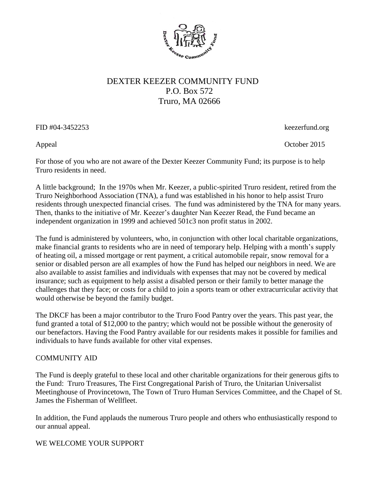

## DEXTER KEEZER COMMUNITY FUND P.O. Box 572 Truro, MA 02666

FID #04-3452253 keezerfund.org

Appeal October 2015

For those of you who are not aware of the Dexter Keezer Community Fund; its purpose is to help Truro residents in need.

A little background; In the 1970s when Mr. Keezer, a public-spirited Truro resident, retired from the Truro Neighborhood Association (TNA), a fund was established in his honor to help assist Truro residents through unexpected financial crises. The fund was administered by the TNA for many years. Then, thanks to the initiative of Mr. Keezer's daughter Nan Keezer Read, the Fund became an independent organization in 1999 and achieved 501c3 non profit status in 2002.

The fund is administered by volunteers, who, in conjunction with other local charitable organizations, make financial grants to residents who are in need of temporary help. Helping with a month's supply of heating oil, a missed mortgage or rent payment, a critical automobile repair, snow removal for a senior or disabled person are all examples of how the Fund has helped our neighbors in need. We are also available to assist families and individuals with expenses that may not be covered by medical insurance; such as equipment to help assist a disabled person or their family to better manage the challenges that they face; or costs for a child to join a sports team or other extracurricular activity that would otherwise be beyond the family budget.

The DKCF has been a major contributor to the Truro Food Pantry over the years. This past year, the fund granted a total of \$12,000 to the pantry; which would not be possible without the generosity of our benefactors. Having the Food Pantry available for our residents makes it possible for families and individuals to have funds available for other vital expenses.

## COMMUNITY AID

The Fund is deeply grateful to these local and other charitable organizations for their generous gifts to the Fund: Truro Treasures, The First Congregational Parish of Truro, the Unitarian Universalist Meetinghouse of Provincetown, The Town of Truro Human Services Committee, and the Chapel of St. James the Fisherman of Wellfleet.

In addition, the Fund applauds the numerous Truro people and others who enthusiastically respond to our annual appeal.

## WE WELCOME YOUR SUPPORT